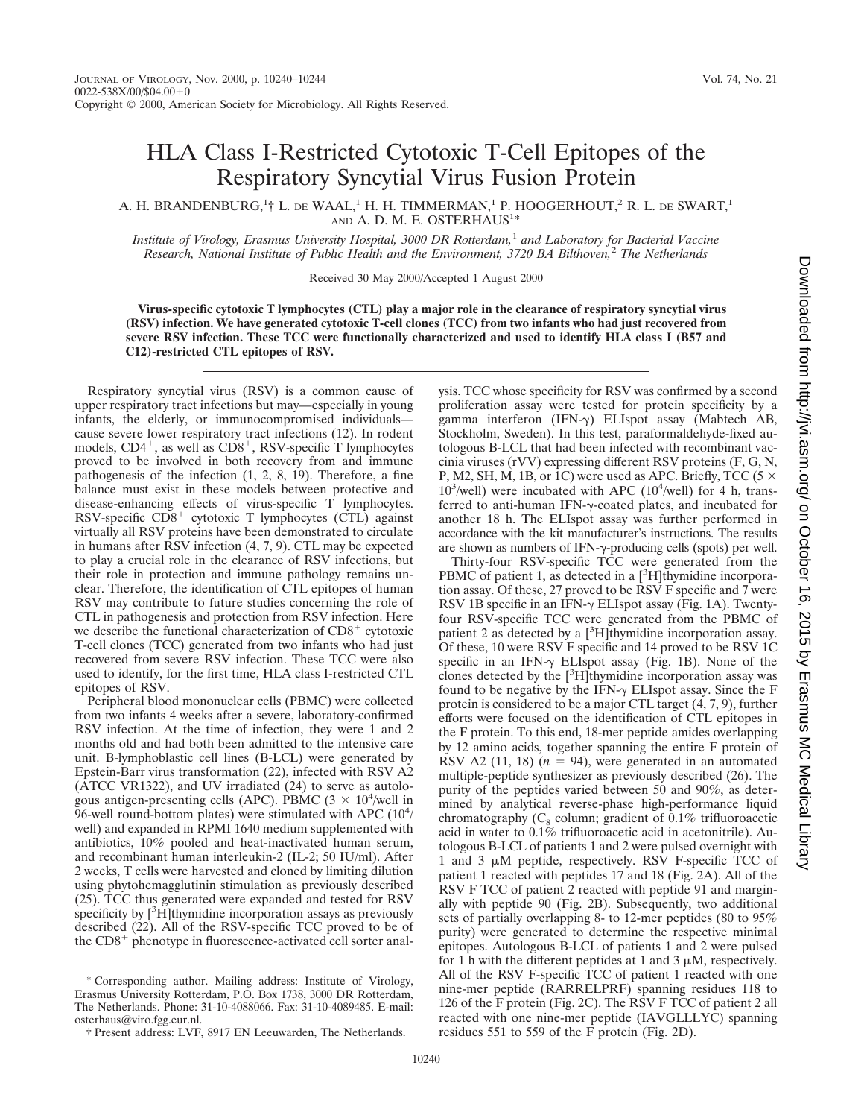## HLA Class I-Restricted Cytotoxic T-Cell Epitopes of the Respiratory Syncytial Virus Fusion Protein

A. H. BRANDENBURG, $^{1\dagger}$  L. de WAAL, $^{1}$  H. H. TIMMERMAN, $^{1}$  P. HOOGERHOUT, $^{2}$  R. L. de SWART, $^{1}$ AND A. D. M. E. OSTERHAUS<sup>1\*</sup>

*Institute of Virology, Erasmus University Hospital, 3000 DR Rotterdam,*<sup>1</sup> *and Laboratory for Bacterial Vaccine Research, National Institute of Public Health and the Environment, 3720 BA Bilthoven,*<sup>2</sup> *The Netherlands*

Received 30 May 2000/Accepted 1 August 2000

**Virus-specific cytotoxic T lymphocytes (CTL) play a major role in the clearance of respiratory syncytial virus (RSV) infection. We have generated cytotoxic T-cell clones (TCC) from two infants who had just recovered from severe RSV infection. These TCC were functionally characterized and used to identify HLA class I (B57 and C12)-restricted CTL epitopes of RSV.**

Respiratory syncytial virus (RSV) is a common cause of upper respiratory tract infections but may—especially in young infants, the elderly, or immunocompromised individuals cause severe lower respiratory tract infections (12). In rodent models,  $CD4^+$ , as well as  $CD8^+$ , RSV-specific T lymphocytes proved to be involved in both recovery from and immune pathogenesis of the infection (1, 2, 8, 19). Therefore, a fine balance must exist in these models between protective and disease-enhancing effects of virus-specific T lymphocytes.<br>RSV-specific CD8<sup>+</sup> cytotoxic T lymphocytes (CTL) against virtually all RSV proteins have been demonstrated to circulate in humans after RSV infection (4, 7, 9). CTL may be expected to play a crucial role in the clearance of RSV infections, but their role in protection and immune pathology remains unclear. Therefore, the identification of CTL epitopes of human RSV may contribute to future studies concerning the role of CTL in pathogenesis and protection from RSV infection. Here we describe the functional characterization of  $CD8<sup>+</sup>$  cytotoxic T-cell clones (TCC) generated from two infants who had just recovered from severe RSV infection. These TCC were also used to identify, for the first time, HLA class I-restricted CTL epitopes of RSV.

Peripheral blood mononuclear cells (PBMC) were collected from two infants 4 weeks after a severe, laboratory-confirmed RSV infection. At the time of infection, they were 1 and 2 months old and had both been admitted to the intensive care unit. B-lymphoblastic cell lines (B-LCL) were generated by Epstein-Barr virus transformation (22), infected with RSV A2 (ATCC VR1322), and UV irradiated (24) to serve as autologous antigen-presenting cells (APC). PBMC  $(3 \times 10^4/\text{well}$  in 96-well round-bottom plates) were stimulated with APC  $(10^4)$ well) and expanded in RPMI 1640 medium supplemented with antibiotics, 10% pooled and heat-inactivated human serum, and recombinant human interleukin-2 (IL-2; 50 IU/ml). After 2 weeks, T cells were harvested and cloned by limiting dilution using phytohemagglutinin stimulation as previously described (25). TCC thus generated were expanded and tested for RSV specificity by  $[^{3}H]$ thymidine incorporation assays as previously described (22). All of the RSV-specific TCC proved to be of the  $CD8<sup>+</sup>$  phenotype in fluorescence-activated cell sorter anal-

\* Corresponding author. Mailing address: Institute of Virology, Erasmus University Rotterdam, P.O. Box 1738, 3000 DR Rotterdam, The Netherlands. Phone: 31-10-4088066. Fax: 31-10-4089485. E-mail: osterhaus@viro.fgg.eur.nl.

ysis. TCC whose specificity for RSV was confirmed by a second proliferation assay were tested for protein specificity by a gamma interferon (IFN-g) ELIspot assay (Mabtech AB, Stockholm, Sweden). In this test, paraformaldehyde-fixed autologous B-LCL that had been infected with recombinant vaccinia viruses (rVV) expressing different RSV proteins (F, G, N, P, M2, SH, M, 1B, or 1C) were used as APC. Briefly, TCC (5  $\times$  $10^3$ /well) were incubated with APC ( $10^4$ /well) for 4 h, transferred to anti-human IFN-g-coated plates, and incubated for another 18 h. The ELIspot assay was further performed in accordance with the kit manufacturer's instructions. The results are shown as numbers of IFN- $\gamma$ -producing cells (spots) per well.

Thirty-four RSV-specific TCC were generated from the PBMC of patient 1, as detected in a  $[{}^3H]$ thymidine incorporation assay. Of these, 27 proved to be RSV F specific and 7 were RSV 1B specific in an IFN- $\gamma$  ELIspot assay (Fig. 1A). Twentyfour RSV-specific TCC were generated from the PBMC of patient 2 as detected by a [<sup>3</sup>H]thymidine incorporation assay. Of these, 10 were RSV F specific and 14 proved to be RSV 1C specific in an IFN- $\gamma$  ELIspot assay (Fig. 1B). None of the clones detected by the  $[{}^{3}H]$ thymidine incorporation assay was found to be negative by the IFN- $\gamma$  ELIspot assay. Since the F protein is considered to be a major CTL target (4, 7, 9), further efforts were focused on the identification of CTL epitopes in the F protein. To this end, 18-mer peptide amides overlapping by 12 amino acids, together spanning the entire F protein of RSV A2  $(11, 18)$   $(n = 94)$ , were generated in an automated multiple-peptide synthesizer as previously described (26). The purity of the peptides varied between 50 and 90%, as determined by analytical reverse-phase high-performance liquid chromatography ( $C_8$  column; gradient of 0.1% trifluoroacetic acid in water to 0.1% trifluoroacetic acid in acetonitrile). Autologous B-LCL of patients 1 and 2 were pulsed overnight with 1 and 3  $\mu$ M peptide, respectively. RSV F-specific TCC of patient 1 reacted with peptides 17 and 18 (Fig. 2A). All of the RSV F TCC of patient 2 reacted with peptide 91 and marginally with peptide 90 (Fig. 2B). Subsequently, two additional sets of partially overlapping 8- to 12-mer peptides (80 to 95% purity) were generated to determine the respective minimal epitopes. Autologous B-LCL of patients 1 and 2 were pulsed for 1 h with the different peptides at 1 and 3  $\mu$ M, respectively. All of the RSV F-specific TCC of patient 1 reacted with one nine-mer peptide (RARRELPRF) spanning residues 118 to 126 of the F protein (Fig. 2C). The RSV F TCC of patient 2 all reacted with one nine-mer peptide (IAVGLLLYC) spanning residues 551 to 559 of the F protein (Fig. 2D).

<sup>†</sup> Present address: LVF, 8917 EN Leeuwarden, The Netherlands.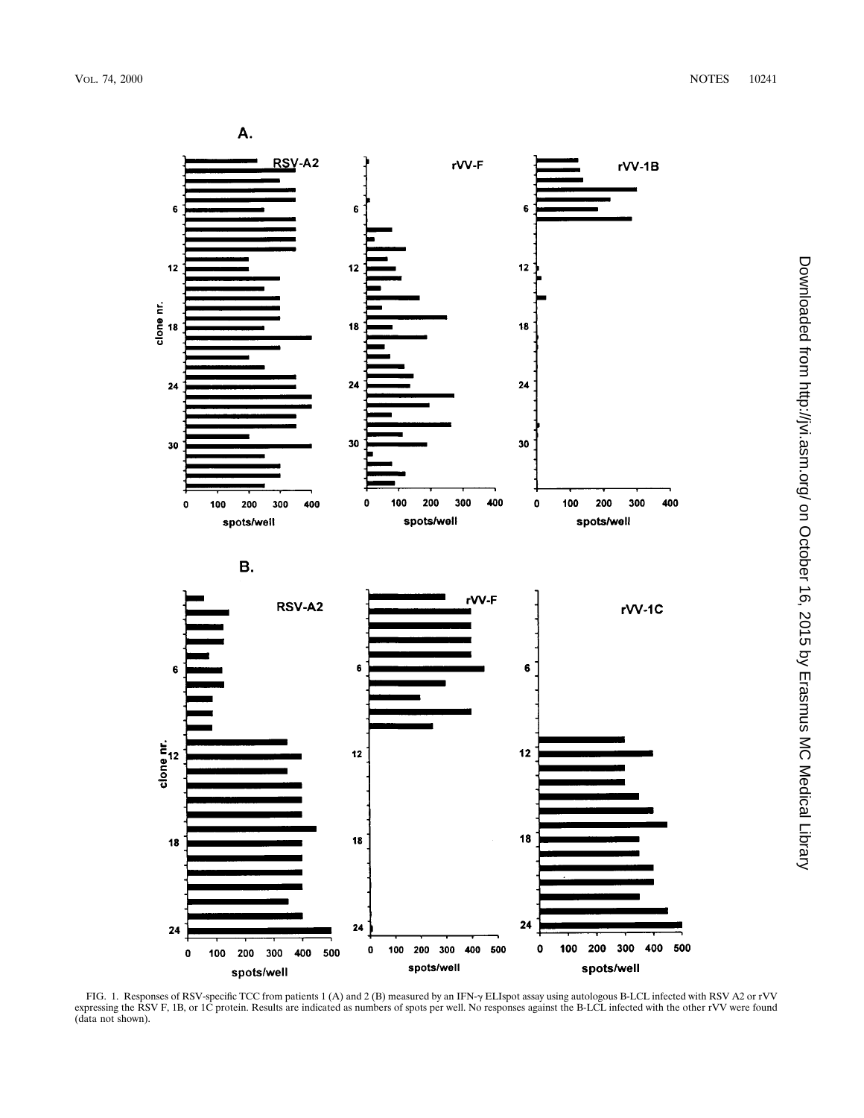

FIG. 1. Responses of RSV-specific TCC from patients 1 (A) and 2 (B) measured by an IFN- $\gamma$  ELIspot assay using autologous B-LCL infected with RSV A2 or rVV expressing the RSV F, 1B, or 1C protein. Results are indicated as numbers of spots per well. No responses against the B-LCL infected with the other rVV were found (data not shown).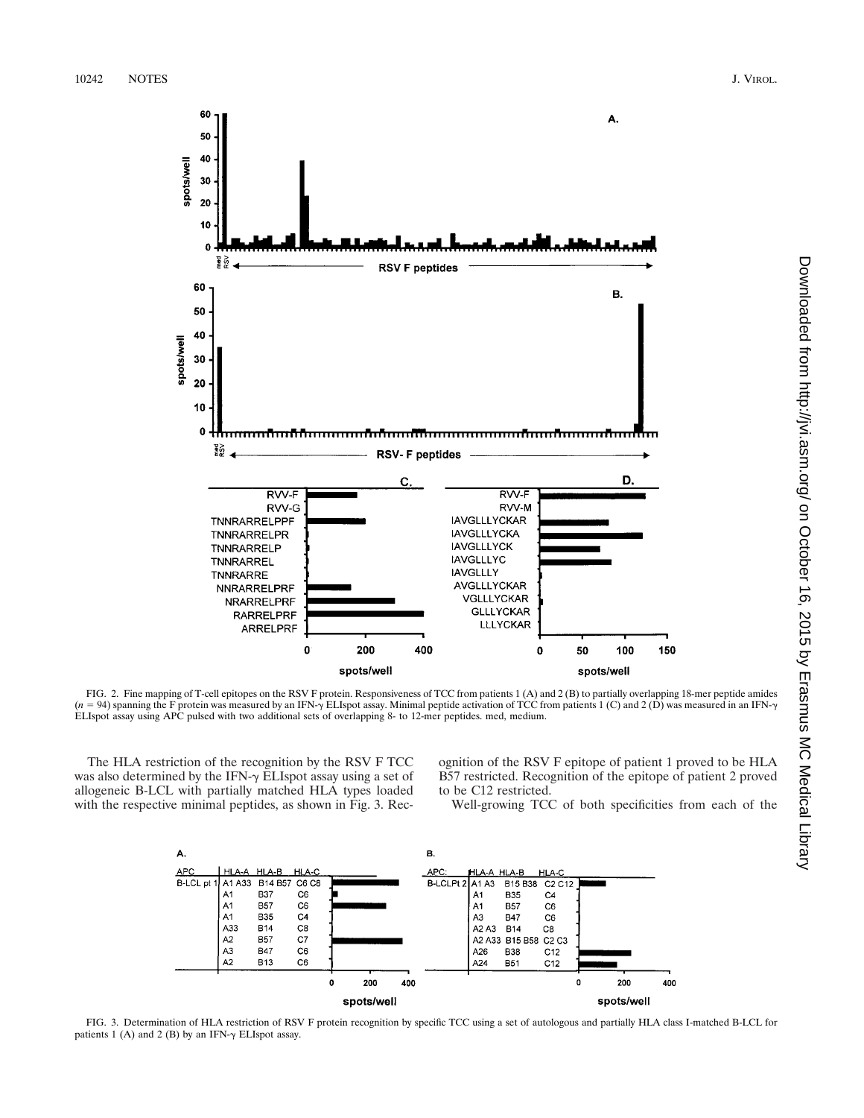

FIG. 2. Fine mapping of T-cell epitopes on the RSV F protein. Responsiveness of TCC from patients 1 (A) and 2 (B) to partially overlapping 18-mer peptide amides ( $n = 94$ ) spanning the F protein was measured by an IFN- $\gamma$ ELIspot assay using APC pulsed with two additional sets of overlapping 8- to 12-mer peptides. med, medium.

The HLA restriction of the recognition by the RSV F TCC was also determined by the IFN- $\gamma$  ELIspot assay using a set of allogeneic B-LCL with partially matched HLA types loaded with the respective minimal peptides, as shown in Fig. 3. Recognition of the RSV F epitope of patient 1 proved to be HLA B57 restricted. Recognition of the epitope of patient 2 proved to be C12 restricted.

Well-growing TCC of both specificities from each of the



FIG. 3. Determination of HLA restriction of RSV F protein recognition by specific TCC using a set of autologous and partially HLA class I-matched B-LCL for patients 1 (A) and 2 (B) by an IFN- $\gamma$  ELIspot assay.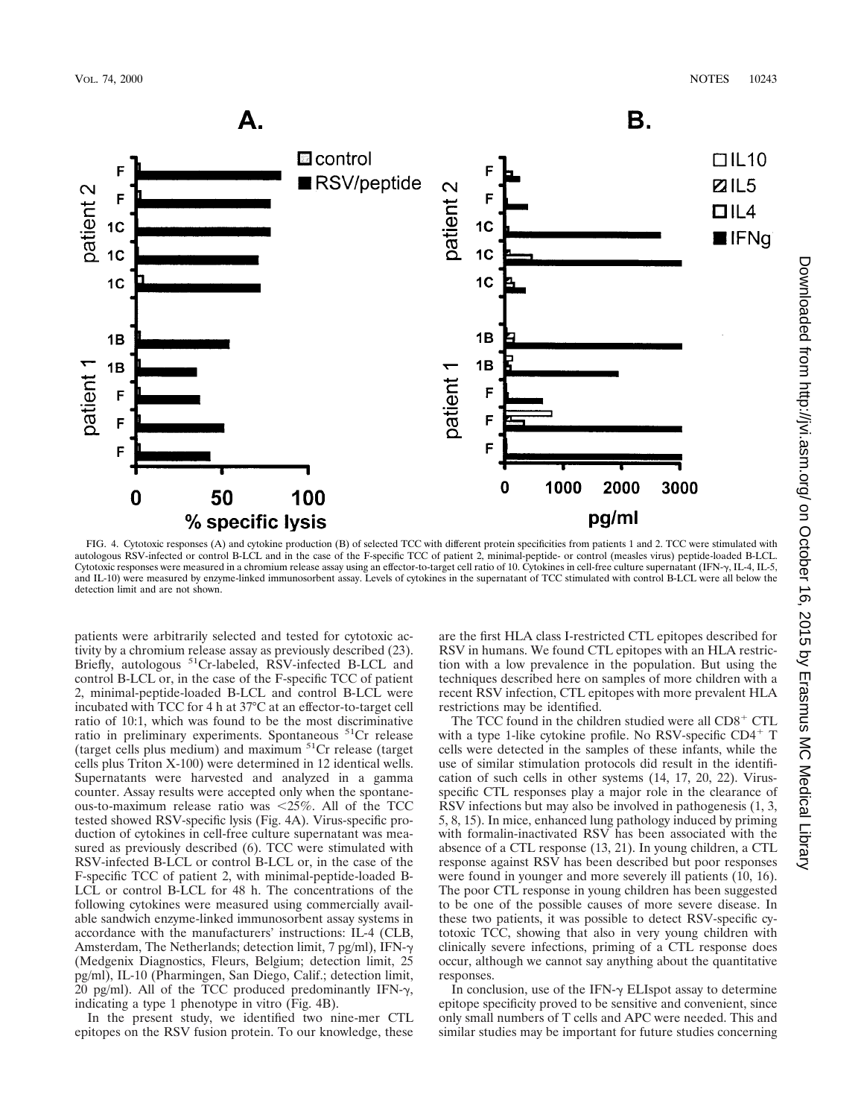

FIG. 4. Cytotoxic responses (A) and cytokine production (B) of selected TCC with different protein specificities from patients 1 and 2. TCC were stimulated with autologous RSV-infected or control B-LCL and in the case of the F-specific TCC of patient 2, minimal-peptide- or control (measles virus) peptide-loaded B-LCL. Cytotoxic responses were measured in a chromium release assay using an effector-to-target cell ratio of 10. Cytokines in cell-free culture supernatant (IFN-y, IL-4, IL-5, and IL-10) were measured by enzyme-linked immunosorbent assay. Levels of cytokines in the supernatant of TCC stimulated with control B-LCL were all below the detection limit and are not shown.

patients were arbitrarily selected and tested for cytotoxic activity by a chromium release assay as previously described (23). Briefly, autologous <sup>51</sup>Cr-labeled, RSV-infected B-LCL and control B-LCL or, in the case of the F-specific TCC of patient 2, minimal-peptide-loaded B-LCL and control B-LCL were incubated with TCC for 4 h at 37°C at an effector-to-target cell ratio of 10:1, which was found to be the most discriminative ratio in preliminary experiments. Spontaneous 51Cr release (target cells plus medium) and maximum 51Cr release (target cells plus Triton X-100) were determined in 12 identical wells. Supernatants were harvested and analyzed in a gamma counter. Assay results were accepted only when the spontaneous-to-maximum release ratio was  $< 25\%$ . All of the TCC tested showed RSV-specific lysis (Fig. 4A). Virus-specific production of cytokines in cell-free culture supernatant was measured as previously described (6). TCC were stimulated with RSV-infected B-LCL or control B-LCL or, in the case of the F-specific TCC of patient 2, with minimal-peptide-loaded B-LCL or control B-LCL for 48 h. The concentrations of the following cytokines were measured using commercially available sandwich enzyme-linked immunosorbent assay systems in accordance with the manufacturers' instructions: IL-4 (CLB, Amsterdam, The Netherlands; detection limit, 7 pg/ml), IFN- $\gamma$ (Medgenix Diagnostics, Fleurs, Belgium; detection limit, 25 pg/ml), IL-10 (Pharmingen, San Diego, Calif.; detection limit,  $20$  pg/ml). All of the TCC produced predominantly IFN- $\gamma$ , indicating a type 1 phenotype in vitro (Fig. 4B).

In the present study, we identified two nine-mer CTL epitopes on the RSV fusion protein. To our knowledge, these are the first HLA class I-restricted CTL epitopes described for RSV in humans. We found CTL epitopes with an HLA restriction with a low prevalence in the population. But using the techniques described here on samples of more children with a recent RSV infection, CTL epitopes with more prevalent HLA restrictions may be identified.

The TCC found in the children studied were all  $CD8<sup>+</sup>$  CTL with a type 1-like cytokine profile. No RSV-specific  $CD4^+$  T cells were detected in the samples of these infants, while the use of similar stimulation protocols did result in the identification of such cells in other systems (14, 17, 20, 22). Virusspecific CTL responses play a major role in the clearance of RSV infections but may also be involved in pathogenesis (1, 3, 5, 8, 15). In mice, enhanced lung pathology induced by priming with formalin-inactivated RSV has been associated with the absence of a CTL response (13, 21). In young children, a CTL response against RSV has been described but poor responses were found in younger and more severely ill patients (10, 16). The poor CTL response in young children has been suggested to be one of the possible causes of more severe disease. In these two patients, it was possible to detect RSV-specific cytotoxic TCC, showing that also in very young children with clinically severe infections, priming of a CTL response does occur, although we cannot say anything about the quantitative responses.

In conclusion, use of the IFN- $\gamma$  ELIspot assay to determine epitope specificity proved to be sensitive and convenient, since only small numbers of T cells and APC were needed. This and similar studies may be important for future studies concerning